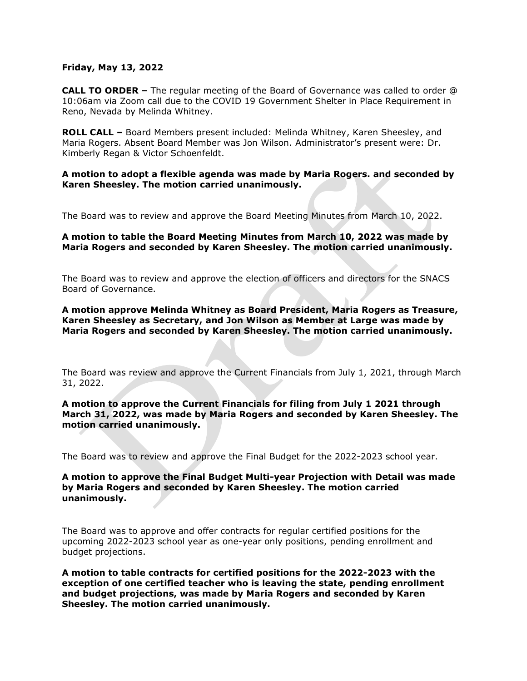#### **Friday, May 13, 2022**

**CALL TO ORDER –** The regular meeting of the Board of Governance was called to order @ 10:06am via Zoom call due to the COVID 19 Government Shelter in Place Requirement in Reno, Nevada by Melinda Whitney.

**ROLL CALL –** Board Members present included: Melinda Whitney, Karen Sheesley, and Maria Rogers. Absent Board Member was Jon Wilson. Administrator's present were: Dr. Kimberly Regan & Victor Schoenfeldt.

### **A motion to adopt a flexible agenda was made by Maria Rogers. and seconded by Karen Sheesley. The motion carried unanimously.**

The Board was to review and approve the Board Meeting Minutes from March 10, 2022.

### **A motion to table the Board Meeting Minutes from March 10, 2022 was made by Maria Rogers and seconded by Karen Sheesley. The motion carried unanimously.**

The Board was to review and approve the election of officers and directors for the SNACS Board of Governance.

**A motion approve Melinda Whitney as Board President, Maria Rogers as Treasure, Karen Sheesley as Secretary, and Jon Wilson as Member at Large was made by Maria Rogers and seconded by Karen Sheesley. The motion carried unanimously.**

The Board was review and approve the Current Financials from July 1, 2021, through March 31, 2022.

## **A motion to approve the Current Financials for filing from July 1 2021 through March 31, 2022, was made by Maria Rogers and seconded by Karen Sheesley. The motion carried unanimously.**

The Board was to review and approve the Final Budget for the 2022-2023 school year.

# **A motion to approve the Final Budget Multi-year Projection with Detail was made by Maria Rogers and seconded by Karen Sheesley. The motion carried unanimously.**

The Board was to approve and offer contracts for regular certified positions for the upcoming 2022-2023 school year as one-year only positions, pending enrollment and budget projections.

**A motion to table contracts for certified positions for the 2022-2023 with the exception of one certified teacher who is leaving the state, pending enrollment and budget projections, was made by Maria Rogers and seconded by Karen Sheesley. The motion carried unanimously.**